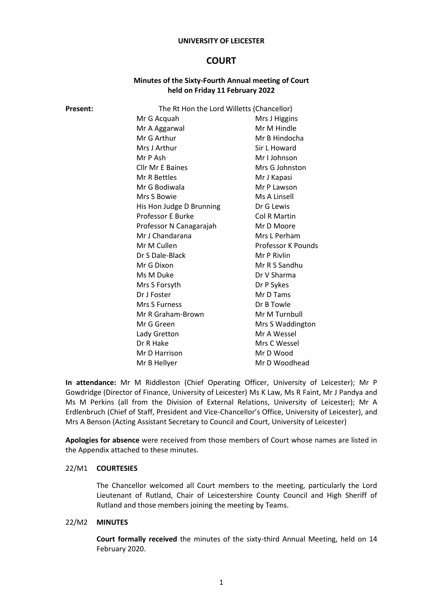#### **UNIVERSITY OF LEICESTER**

# **COURT**

## **Minutes of the Sixty-Fourth Annual meeting of Court held on Friday 11 February 2022**

| Present: | The Rt Hon the Lord Willetts (Chancellor) |                    |
|----------|-------------------------------------------|--------------------|
|          | Mr G Acquah                               | Mrs J Higgins      |
|          | Mr A Aggarwal                             | Mr M Hindle        |
|          | Mr G Arthur                               | Mr B Hindocha      |
|          | Mrs J Arthur                              | Sir L Howard       |
|          | Mr P Ash                                  | Mr I Johnson       |
|          | <b>Cllr Mr E Baines</b>                   | Mrs G Johnston     |
|          | Mr R Bettles                              | Mr J Kapasi        |
|          | Mr G Bodiwala                             | Mr P Lawson        |
|          | Mrs S Bowie                               | Ms A Linsell       |
|          | His Hon Judge D Brunning                  | Dr G Lewis         |
|          | Professor E Burke                         | Col R Martin       |
|          | Professor N Canagarajah                   | Mr D Moore         |
|          | Mr J Chandarana                           | Mrs L Perham       |
|          | Mr M Cullen                               | Professor K Pounds |
|          | Dr S Dale-Black                           | Mr P Rivlin        |
|          | Mr G Dixon                                | Mr R S Sandhu      |
|          | Ms M Duke                                 | Dr V Sharma        |
|          | Mrs S Forsyth                             | Dr P Sykes         |
|          | Dr J Foster                               | Mr D Tams          |
|          | Mrs S Furness                             | Dr B Towle         |
|          | Mr R Graham-Brown                         | Mr M Turnbull      |
|          | Mr G Green                                | Mrs S Waddington   |
|          | Lady Gretton                              | Mr A Wessel        |
|          | Dr R Hake                                 | Mrs C Wessel       |
|          | Mr D Harrison                             | Mr D Wood          |
|          | Mr B Hellyer                              | Mr D Woodhead      |
|          |                                           |                    |

**In attendance:** Mr M Riddleston (Chief Operating Officer, University of Leicester); Mr P Gowdridge (Director of Finance, University of Leicester) Ms K Law, Ms R Faint, Mr J Pandya and Ms M Perkins (all from the Division of External Relations, University of Leicester); Mr A Erdlenbruch (Chief of Staff, President and Vice-Chancellor's Office, University of Leicester), and Mrs A Benson (Acting Assistant Secretary to Council and Court, University of Leicester)

**Apologies for absence** were received from those members of Court whose names are listed in the Appendix attached to these minutes.

#### 22/M1 **COURTESIES**

The Chancellor welcomed all Court members to the meeting, particularly the Lord Lieutenant of Rutland, Chair of Leicestershire County Council and High Sheriff of Rutland and those members joining the meeting by Teams.

### 22/M2 **MINUTES**

**Court formally received** the minutes of the sixty-third Annual Meeting, held on 14 February 2020.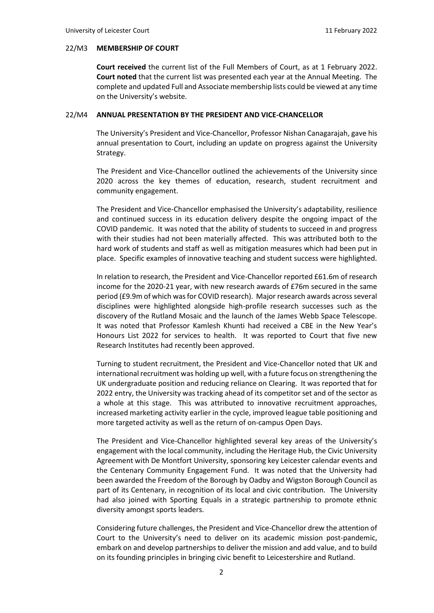#### 22/M3 **MEMBERSHIP OF COURT**

**Court received** the current list of the Full Members of Court, as at 1 February 2022. **Court noted** that the current list was presented each year at the Annual Meeting. The complete and updated Full and Associate membership lists could be viewed at any time on the University's website.

#### 22/M4 **ANNUAL PRESENTATION BY THE PRESIDENT AND VICE-CHANCELLOR**

The University's President and Vice-Chancellor, Professor Nishan Canagarajah, gave his annual presentation to Court, including an update on progress against the University Strategy.

The President and Vice-Chancellor outlined the achievements of the University since 2020 across the key themes of education, research, student recruitment and community engagement.

The President and Vice-Chancellor emphasised the University's adaptability, resilience and continued success in its education delivery despite the ongoing impact of the COVID pandemic. It was noted that the ability of students to succeed in and progress with their studies had not been materially affected. This was attributed both to the hard work of students and staff as well as mitigation measures which had been put in place. Specific examples of innovative teaching and student success were highlighted.

In relation to research, the President and Vice-Chancellor reported £61.6m of research income for the 2020-21 year, with new research awards of £76m secured in the same period (£9.9m of which was for COVID research). Major research awards across several disciplines were highlighted alongside high-profile research successes such as the discovery of the Rutland Mosaic and the launch of the James Webb Space Telescope. It was noted that Professor Kamlesh Khunti had received a CBE in the New Year's Honours List 2022 for services to health. It was reported to Court that five new Research Institutes had recently been approved.

Turning to student recruitment, the President and Vice-Chancellor noted that UK and international recruitment was holding up well, with a future focus on strengthening the UK undergraduate position and reducing reliance on Clearing. It was reported that for 2022 entry, the University was tracking ahead of its competitor set and of the sector as a whole at this stage. This was attributed to innovative recruitment approaches, increased marketing activity earlier in the cycle, improved league table positioning and more targeted activity as well as the return of on-campus Open Days.

The President and Vice-Chancellor highlighted several key areas of the University's engagement with the local community, including the Heritage Hub, the Civic University Agreement with De Montfort University, sponsoring key Leicester calendar events and the Centenary Community Engagement Fund. It was noted that the University had been awarded the Freedom of the Borough by Oadby and Wigston Borough Council as part of its Centenary, in recognition of its local and civic contribution. The University had also joined with Sporting Equals in a strategic partnership to promote ethnic diversity amongst sports leaders.

Considering future challenges, the President and Vice-Chancellor drew the attention of Court to the University's need to deliver on its academic mission post-pandemic, embark on and develop partnerships to deliver the mission and add value, and to build on its founding principles in bringing civic benefit to Leicestershire and Rutland.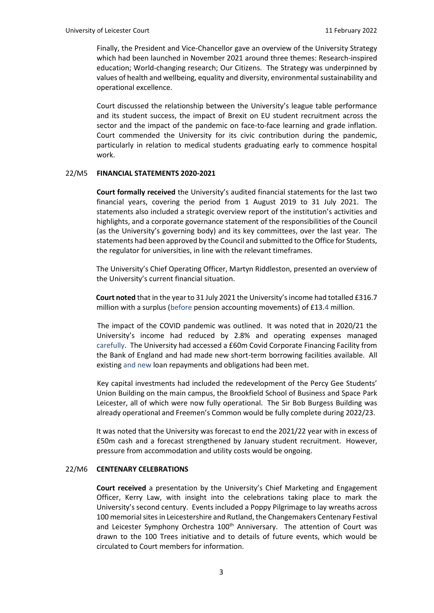Finally, the President and Vice-Chancellor gave an overview of the University Strategy which had been launched in November 2021 around three themes: Research-inspired education; World-changing research; Our Citizens. The Strategy was underpinned by values of health and wellbeing, equality and diversity, environmental sustainability and operational excellence.

Court discussed the relationship between the University's league table performance and its student success, the impact of Brexit on EU student recruitment across the sector and the impact of the pandemic on face-to-face learning and grade inflation. Court commended the University for its civic contribution during the pandemic, particularly in relation to medical students graduating early to commence hospital work.

#### 22/M5 **FINANCIAL STATEMENTS 2020-2021**

 **Court formally received** the University's audited financial statements for the last two financial years, covering the period from 1 August 2019 to 31 July 2021. The statements also included a strategic overview report of the institution's activities and highlights, and a corporate governance statement of the responsibilities of the Council (as the University's governing body) and its key committees, over the last year. The statements had been approved by the Council and submitted to the Office for Students, the regulator for universities, in line with the relevant timeframes.

The University's Chief Operating Officer, Martyn Riddleston, presented an overview of the University's current financial situation.

 **Court noted** that in the year to 31 July 2021 the University's income had totalled £316.7 million with a surplus (before pension accounting movements) of £13.4 million.

 The impact of the COVID pandemic was outlined. It was noted that in 2020/21 the University's income had reduced by 2.8% and operating expenses managed carefully. The University had accessed a £60m Covid Corporate Financing Facility from the Bank of England and had made new short-term borrowing facilities available. All existing and new loan repayments and obligations had been met.

Key capital investments had included the redevelopment of the Percy Gee Students' Union Building on the main campus, the Brookfield School of Business and Space Park Leicester, all of which were now fully operational. The Sir Bob Burgess Building was already operational and Freemen's Common would be fully complete during 2022/23.

 It was noted that the University was forecast to end the 2021/22 year with in excess of £50m cash and a forecast strengthened by January student recruitment. However, pressure from accommodation and utility costs would be ongoing.

#### 22/M6 **CENTENARY CELEBRATIONS**

**Court received** a presentation by the University's Chief Marketing and Engagement Officer, Kerry Law, with insight into the celebrations taking place to mark the University's second century. Events included a Poppy Pilgrimage to lay wreaths across 100 memorial sites in Leicestershire and Rutland, the Changemakers Centenary Festival and Leicester Symphony Orchestra 100<sup>th</sup> Anniversary. The attention of Court was drawn to the 100 Trees initiative and to details of future events, which would be circulated to Court members for information.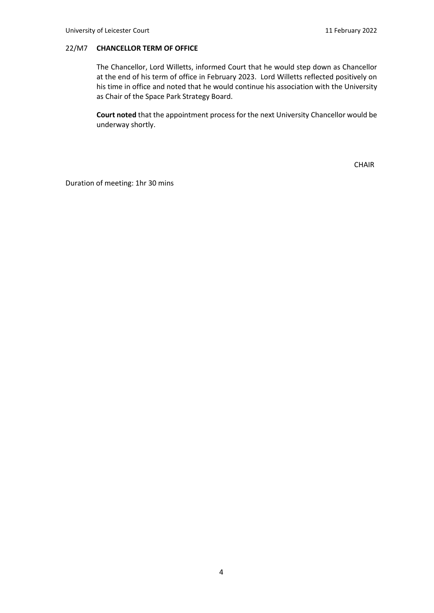#### 22/M7 **CHANCELLOR TERM OF OFFICE**

The Chancellor, Lord Willetts, informed Court that he would step down as Chancellor at the end of his term of office in February 2023. Lord Willetts reflected positively on his time in office and noted that he would continue his association with the University as Chair of the Space Park Strategy Board.

**Court noted** that the appointment process for the next University Chancellor would be underway shortly.

CHAIR

Duration of meeting: 1hr 30 mins